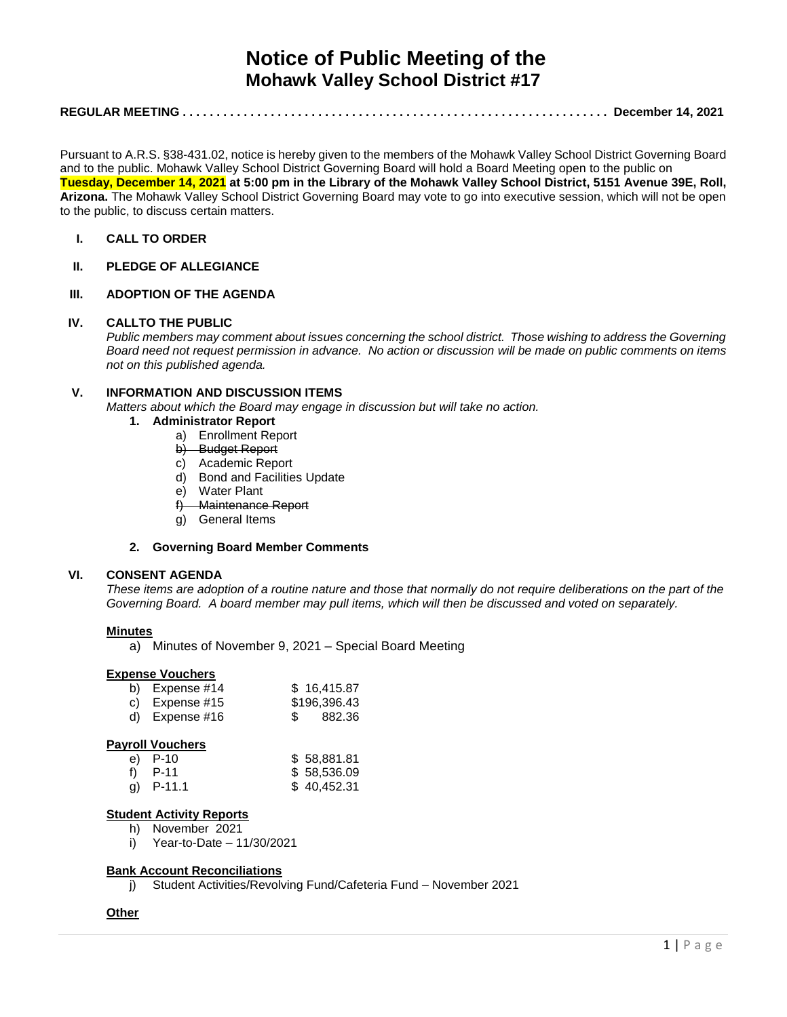# **Notice of Public Meeting of the Mohawk Valley School District #17**

# **REGULAR MEETING . . . . . . . . . . . . . . . . . . . . . . . . . . . . . . . . . . . . . . . . . . . . . . . . . . . . . . . . . . . . . . . December 14, 2021**

Pursuant to A.R.S. §38-431.02, notice is hereby given to the members of the Mohawk Valley School District Governing Board and to the public. Mohawk Valley School District Governing Board will hold a Board Meeting open to the public on **Tuesday, December 14, 2021 at 5:00 pm in the Library of the Mohawk Valley School District, 5151 Avenue 39E, Roll, Arizona.** The Mohawk Valley School District Governing Board may vote to go into executive session, which will not be open to the public, to discuss certain matters.

# **I. CALL TO ORDER**

# **II. PLEDGE OF ALLEGIANCE**

## **III. ADOPTION OF THE AGENDA**

#### **IV. CALLTO THE PUBLIC**

*Public members may comment about issues concerning the school district. Those wishing to address the Governing Board need not request permission in advance. No action or discussion will be made on public comments on items not on this published agenda.*

## **V. INFORMATION AND DISCUSSION ITEMS**

*Matters about which the Board may engage in discussion but will take no action.* 

- **1. Administrator Report**
	- a) Enrollment Report
	- b) Budget Report
	- c) Academic Report
	- d) Bond and Facilities Update
	- e) Water Plant
	- f) Maintenance Report
	- g) General Items

## **2. Governing Board Member Comments**

## **VI. CONSENT AGENDA**

*These items are adoption of a routine nature and those that normally do not require deliberations on the part of the Governing Board. A board member may pull items, which will then be discussed and voted on separately.*

#### **Minutes**

a) Minutes of November 9, 2021 – Special Board Meeting

#### **Expense Vouchers**

| b) Expense $#14$ | \$16,415.87  |
|------------------|--------------|
| c) Expense $#15$ | \$196,396.43 |
| d) Expense $#16$ | \$ 882.36    |

#### **Payroll Vouchers**

| e) P-10     | \$58,881.81 |
|-------------|-------------|
| f) $P-11$   | \$58,536.09 |
| g) $P-11.1$ | \$40,452.31 |

## **Student Activity Reports**

- h) November 2021
- i) Year-to-Date 11/30/2021

#### **Bank Account Reconciliations**

j) Student Activities/Revolving Fund/Cafeteria Fund – November 2021

#### **Other**